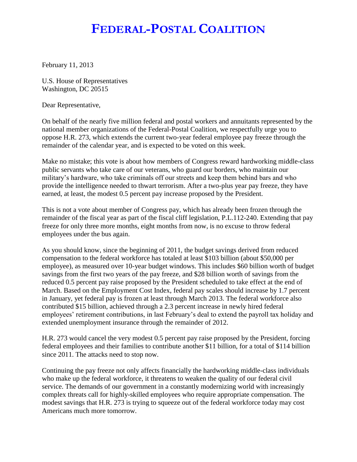## **FEDERAL-POSTAL COALITION**

February 11, 2013

U.S. House of Representatives Washington, DC 20515

Dear Representative,

On behalf of the nearly five million federal and postal workers and annuitants represented by the national member organizations of the Federal-Postal Coalition, we respectfully urge you to oppose H.R. 273, which extends the current two-year federal employee pay freeze through the remainder of the calendar year, and is expected to be voted on this week.

Make no mistake; this vote is about how members of Congress reward hardworking middle-class public servants who take care of our veterans, who guard our borders, who maintain our military's hardware, who take criminals off our streets and keep them behind bars and who provide the intelligence needed to thwart terrorism. After a two-plus year pay freeze, they have earned, at least, the modest 0.5 percent pay increase proposed by the President.

This is not a vote about member of Congress pay, which has already been frozen through the remainder of the fiscal year as part of the fiscal cliff legislation, P.L.112-240. Extending that pay freeze for only three more months, eight months from now, is no excuse to throw federal employees under the bus again.

As you should know, since the beginning of 2011, the budget savings derived from reduced compensation to the federal workforce has totaled at least \$103 billion (about \$50,000 per employee), as measured over 10-year budget windows. This includes \$60 billion worth of budget savings from the first two years of the pay freeze, and \$28 billion worth of savings from the reduced 0.5 percent pay raise proposed by the President scheduled to take effect at the end of March. Based on the Employment Cost Index, federal pay scales should increase by 1.7 percent in January, yet federal pay is frozen at least through March 2013. The federal workforce also contributed \$15 billion, achieved through a 2.3 percent increase in newly hired federal employees' retirement contributions, in last February's deal to extend the payroll tax holiday and extended unemployment insurance through the remainder of 2012.

H.R. 273 would cancel the very modest 0.5 percent pay raise proposed by the President, forcing federal employees and their families to contribute another \$11 billion, for a total of \$114 billion since 2011. The attacks need to stop now.

Continuing the pay freeze not only affects financially the hardworking middle-class individuals who make up the federal workforce, it threatens to weaken the quality of our federal civil service. The demands of our government in a constantly modernizing world with increasingly complex threats call for highly-skilled employees who require appropriate compensation. The modest savings that H.R. 273 is trying to squeeze out of the federal workforce today may cost Americans much more tomorrow.